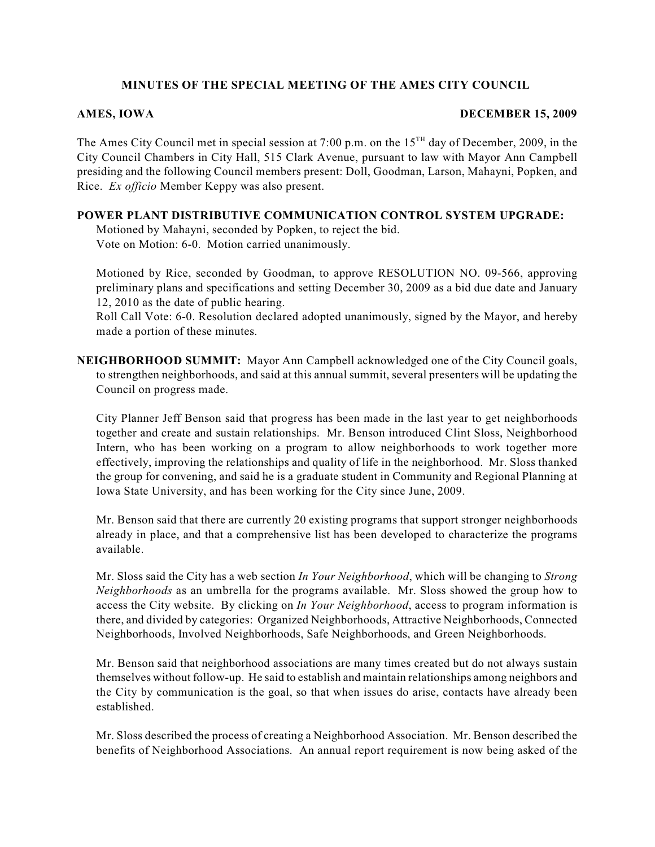## **MINUTES OF THE SPECIAL MEETING OF THE AMES CITY COUNCIL**

#### **AMES, IOWA DECEMBER 15, 2009**

The Ames City Council met in special session at 7:00 p.m. on the  $15<sup>TH</sup>$  day of December, 2009, in the City Council Chambers in City Hall, 515 Clark Avenue, pursuant to law with Mayor Ann Campbell presiding and the following Council members present: Doll, Goodman, Larson, Mahayni, Popken, and Rice. *Ex officio* Member Keppy was also present.

### **POWER PLANT DISTRIBUTIVE COMMUNICATION CONTROL SYSTEM UPGRADE:**

Motioned by Mahayni, seconded by Popken, to reject the bid. Vote on Motion: 6-0. Motion carried unanimously.

Motioned by Rice, seconded by Goodman, to approve RESOLUTION NO. 09-566, approving preliminary plans and specifications and setting December 30, 2009 as a bid due date and January 12, 2010 as the date of public hearing.

Roll Call Vote: 6-0. Resolution declared adopted unanimously, signed by the Mayor, and hereby made a portion of these minutes.

**NEIGHBORHOOD SUMMIT:** Mayor Ann Campbell acknowledged one of the City Council goals, to strengthen neighborhoods, and said at this annual summit, several presenters will be updating the Council on progress made.

City Planner Jeff Benson said that progress has been made in the last year to get neighborhoods together and create and sustain relationships. Mr. Benson introduced Clint Sloss, Neighborhood Intern, who has been working on a program to allow neighborhoods to work together more effectively, improving the relationships and quality of life in the neighborhood. Mr. Sloss thanked the group for convening, and said he is a graduate student in Community and Regional Planning at Iowa State University, and has been working for the City since June, 2009.

Mr. Benson said that there are currently 20 existing programs that support stronger neighborhoods already in place, and that a comprehensive list has been developed to characterize the programs available.

Mr. Sloss said the City has a web section *In Your Neighborhood*, which will be changing to *Strong Neighborhoods* as an umbrella for the programs available. Mr. Sloss showed the group how to access the City website. By clicking on *In Your Neighborhood*, access to program information is there, and divided by categories: Organized Neighborhoods, Attractive Neighborhoods, Connected Neighborhoods, Involved Neighborhoods, Safe Neighborhoods, and Green Neighborhoods.

Mr. Benson said that neighborhood associations are many times created but do not always sustain themselves without follow-up. He said to establish and maintain relationships among neighbors and the City by communication is the goal, so that when issues do arise, contacts have already been established.

Mr. Sloss described the process of creating a Neighborhood Association. Mr. Benson described the benefits of Neighborhood Associations. An annual report requirement is now being asked of the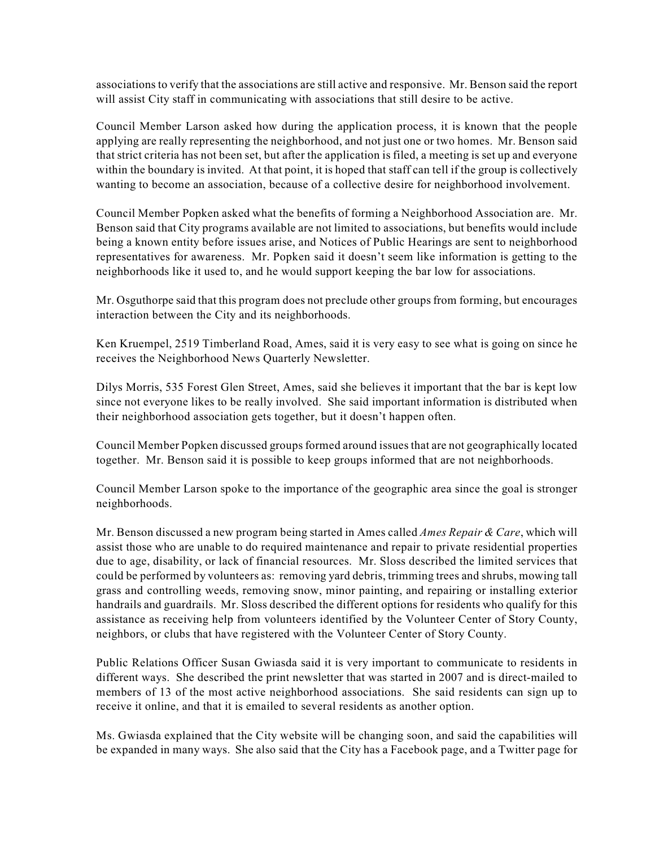associations to verify that the associations are still active and responsive. Mr. Benson said the report will assist City staff in communicating with associations that still desire to be active.

Council Member Larson asked how during the application process, it is known that the people applying are really representing the neighborhood, and not just one or two homes. Mr. Benson said that strict criteria has not been set, but after the application is filed, a meeting is set up and everyone within the boundary is invited. At that point, it is hoped that staff can tell if the group is collectively wanting to become an association, because of a collective desire for neighborhood involvement.

Council Member Popken asked what the benefits of forming a Neighborhood Association are. Mr. Benson said that City programs available are not limited to associations, but benefits would include being a known entity before issues arise, and Notices of Public Hearings are sent to neighborhood representatives for awareness. Mr. Popken said it doesn't seem like information is getting to the neighborhoods like it used to, and he would support keeping the bar low for associations.

Mr. Osguthorpe said that this program does not preclude other groups from forming, but encourages interaction between the City and its neighborhoods.

Ken Kruempel, 2519 Timberland Road, Ames, said it is very easy to see what is going on since he receives the Neighborhood News Quarterly Newsletter.

Dilys Morris, 535 Forest Glen Street, Ames, said she believes it important that the bar is kept low since not everyone likes to be really involved. She said important information is distributed when their neighborhood association gets together, but it doesn't happen often.

Council Member Popken discussed groups formed around issues that are not geographically located together. Mr. Benson said it is possible to keep groups informed that are not neighborhoods.

Council Member Larson spoke to the importance of the geographic area since the goal is stronger neighborhoods.

Mr. Benson discussed a new program being started in Ames called *Ames Repair & Care*, which will assist those who are unable to do required maintenance and repair to private residential properties due to age, disability, or lack of financial resources. Mr. Sloss described the limited services that could be performed by volunteers as: removing yard debris, trimming trees and shrubs, mowing tall grass and controlling weeds, removing snow, minor painting, and repairing or installing exterior handrails and guardrails. Mr. Sloss described the different options for residents who qualify for this assistance as receiving help from volunteers identified by the Volunteer Center of Story County, neighbors, or clubs that have registered with the Volunteer Center of Story County.

Public Relations Officer Susan Gwiasda said it is very important to communicate to residents in different ways. She described the print newsletter that was started in 2007 and is direct-mailed to members of 13 of the most active neighborhood associations. She said residents can sign up to receive it online, and that it is emailed to several residents as another option.

Ms. Gwiasda explained that the City website will be changing soon, and said the capabilities will be expanded in many ways. She also said that the City has a Facebook page, and a Twitter page for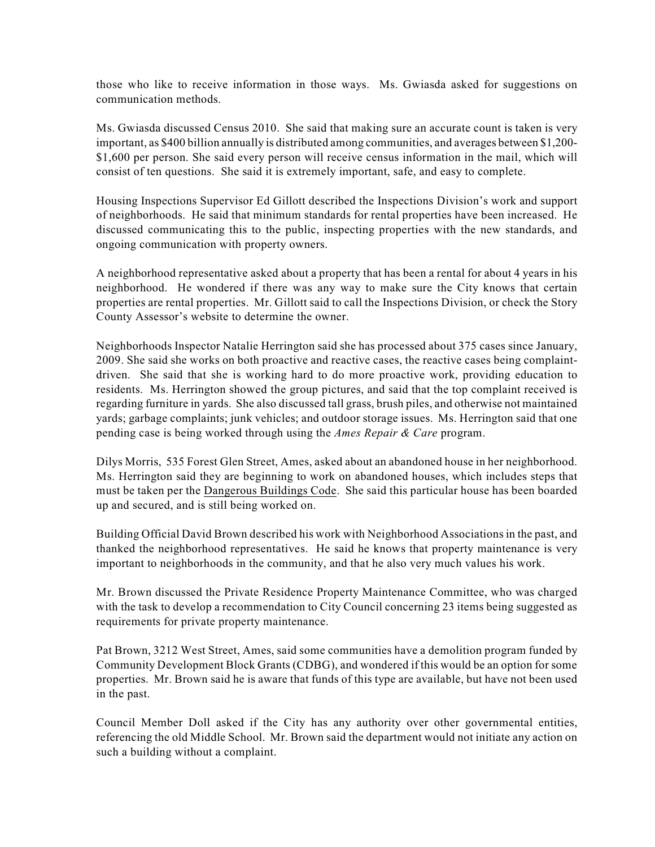those who like to receive information in those ways. Ms. Gwiasda asked for suggestions on communication methods.

Ms. Gwiasda discussed Census 2010. She said that making sure an accurate count is taken is very important, as \$400 billion annually is distributed among communities, and averages between \$1,200- \$1,600 per person. She said every person will receive census information in the mail, which will consist of ten questions. She said it is extremely important, safe, and easy to complete.

Housing Inspections Supervisor Ed Gillott described the Inspections Division's work and support of neighborhoods. He said that minimum standards for rental properties have been increased. He discussed communicating this to the public, inspecting properties with the new standards, and ongoing communication with property owners.

A neighborhood representative asked about a property that has been a rental for about 4 years in his neighborhood. He wondered if there was any way to make sure the City knows that certain properties are rental properties. Mr. Gillott said to call the Inspections Division, or check the Story County Assessor's website to determine the owner.

Neighborhoods Inspector Natalie Herrington said she has processed about 375 cases since January, 2009. She said she works on both proactive and reactive cases, the reactive cases being complaintdriven. She said that she is working hard to do more proactive work, providing education to residents. Ms. Herrington showed the group pictures, and said that the top complaint received is regarding furniture in yards. She also discussed tall grass, brush piles, and otherwise not maintained yards; garbage complaints; junk vehicles; and outdoor storage issues. Ms. Herrington said that one pending case is being worked through using the *Ames Repair & Care* program.

Dilys Morris, 535 Forest Glen Street, Ames, asked about an abandoned house in her neighborhood. Ms. Herrington said they are beginning to work on abandoned houses, which includes steps that must be taken per the Dangerous Buildings Code. She said this particular house has been boarded up and secured, and is still being worked on.

Building Official David Brown described his work with Neighborhood Associations in the past, and thanked the neighborhood representatives. He said he knows that property maintenance is very important to neighborhoods in the community, and that he also very much values his work.

Mr. Brown discussed the Private Residence Property Maintenance Committee, who was charged with the task to develop a recommendation to City Council concerning 23 items being suggested as requirements for private property maintenance.

Pat Brown, 3212 West Street, Ames, said some communities have a demolition program funded by Community Development Block Grants (CDBG), and wondered if this would be an option for some properties. Mr. Brown said he is aware that funds of this type are available, but have not been used in the past.

Council Member Doll asked if the City has any authority over other governmental entities, referencing the old Middle School. Mr. Brown said the department would not initiate any action on such a building without a complaint.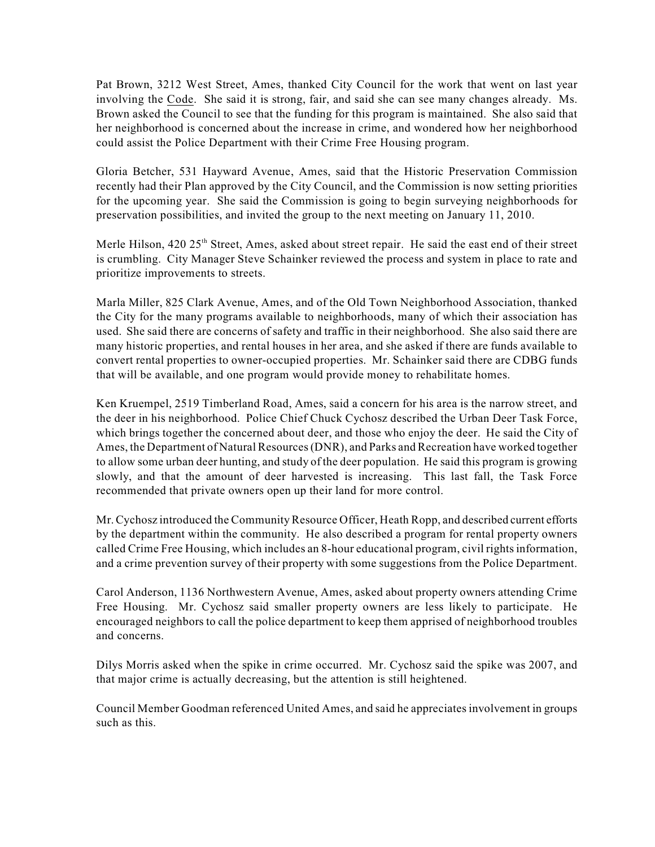Pat Brown, 3212 West Street, Ames, thanked City Council for the work that went on last year involving the Code. She said it is strong, fair, and said she can see many changes already. Ms. Brown asked the Council to see that the funding for this program is maintained. She also said that her neighborhood is concerned about the increase in crime, and wondered how her neighborhood could assist the Police Department with their Crime Free Housing program.

Gloria Betcher, 531 Hayward Avenue, Ames, said that the Historic Preservation Commission recently had their Plan approved by the City Council, and the Commission is now setting priorities for the upcoming year. She said the Commission is going to begin surveying neighborhoods for preservation possibilities, and invited the group to the next meeting on January 11, 2010.

Merle Hilson,  $420.25<sup>th</sup>$  Street, Ames, asked about street repair. He said the east end of their street is crumbling. City Manager Steve Schainker reviewed the process and system in place to rate and prioritize improvements to streets.

Marla Miller, 825 Clark Avenue, Ames, and of the Old Town Neighborhood Association, thanked the City for the many programs available to neighborhoods, many of which their association has used. She said there are concerns of safety and traffic in their neighborhood. She also said there are many historic properties, and rental houses in her area, and she asked if there are funds available to convert rental properties to owner-occupied properties. Mr. Schainker said there are CDBG funds that will be available, and one program would provide money to rehabilitate homes.

Ken Kruempel, 2519 Timberland Road, Ames, said a concern for his area is the narrow street, and the deer in his neighborhood. Police Chief Chuck Cychosz described the Urban Deer Task Force, which brings together the concerned about deer, and those who enjoy the deer. He said the City of Ames, the Department of Natural Resources (DNR), and Parks and Recreation have worked together to allow some urban deer hunting, and study of the deer population. He said this program is growing slowly, and that the amount of deer harvested is increasing. This last fall, the Task Force recommended that private owners open up their land for more control.

Mr. Cychosz introduced the Community Resource Officer, Heath Ropp, and described current efforts by the department within the community. He also described a program for rental property owners called Crime Free Housing, which includes an 8-hour educational program, civil rights information, and a crime prevention survey of their property with some suggestions from the Police Department.

Carol Anderson, 1136 Northwestern Avenue, Ames, asked about property owners attending Crime Free Housing. Mr. Cychosz said smaller property owners are less likely to participate. He encouraged neighbors to call the police department to keep them apprised of neighborhood troubles and concerns.

Dilys Morris asked when the spike in crime occurred. Mr. Cychosz said the spike was 2007, and that major crime is actually decreasing, but the attention is still heightened.

Council Member Goodman referenced United Ames, and said he appreciates involvement in groups such as this.